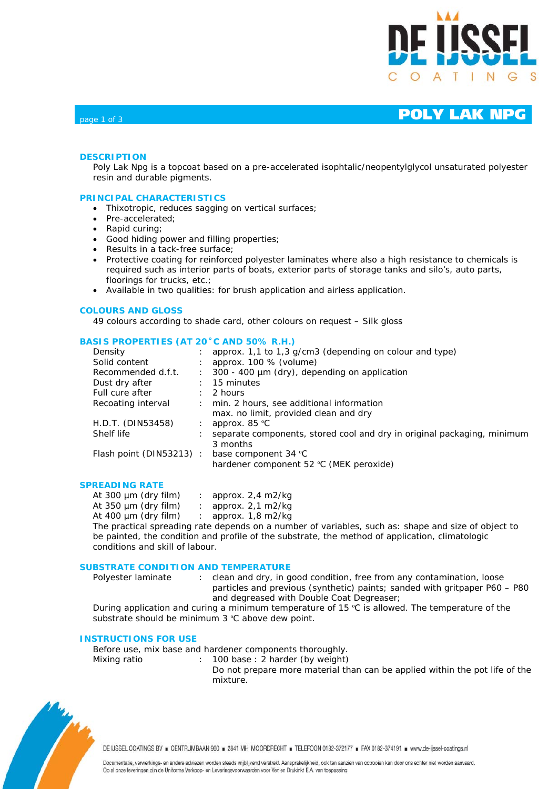

### **DESCRIPTION**

Poly Lak Npg is a topcoat based on a pre-accelerated isophtalic/neopentylglycol unsaturated polyester resin and durable pigments.

### **PRINCIPAL CHARACTERISTICS**

- Thixotropic, reduces sagging on vertical surfaces;
- Pre-accelerated:
- Rapid curing;
- Good hiding power and filling properties;
- Results in a tack-free surface;
- Protective coating for reinforced polyester laminates where also a high resistance to chemicals is required such as interior parts of boats, exterior parts of storage tanks and silo's, auto parts, floorings for trucks, etc.;
- Available in two qualities: for brush application and airless application.

### **COLOURS AND GLOSS**

49 colours according to shade card, other colours on request – Silk gloss

### **BASIS PROPERTIES (AT 20˚C AND 50% R.H.)**

| Density                  |                      | approx. 1,1 to 1,3 g/cm3 (depending on colour and type)                 |
|--------------------------|----------------------|-------------------------------------------------------------------------|
| Solid content            |                      | approx. $100\%$ (volume)                                                |
| Recommended d.f.t.       | $\ddot{\phantom{0}}$ | $300 - 400 \mu m$ (dry), depending on application                       |
| Dust dry after           |                      | 15 minutes                                                              |
| Full cure after          |                      | 2 hours                                                                 |
| Recoating interval       |                      | min. 2 hours, see additional information                                |
|                          |                      | max. no limit, provided clean and dry                                   |
| H.D.T. (DIN53458)        |                      | approx. $85^{\circ}$ C                                                  |
| Shelf life               |                      | separate components, stored cool and dry in original packaging, minimum |
|                          |                      | 3 months                                                                |
| Flash point (DIN53213) : |                      | base component 34 °C                                                    |
|                          |                      | hardener component 52 °C (MEK peroxide)                                 |
|                          |                      |                                                                         |

### **SPREADING RATE**

| At 300 $\mu$ m (dry film)                        | : approx. $2,4$ m $2$ /kg      |
|--------------------------------------------------|--------------------------------|
| At $350 \mu m$ (dry film)                        | : approx. $2,1$ m2/kg          |
| At $400 \mu m$ (dry film)                        | : approx. $1,8 \text{ m}$ 2/kg |
| The practical spreading rate depends on a number |                                |

The practical spreading rate depends on a number of variables, such as: shape and size of object to be painted, the condition and profile of the substrate, the method of application, climatologic conditions and skill of labour.

### **SUBSTRATE CONDITION AND TEMPERATURE**

Polyester laminate : clean and dry, in good condition, free from any contamination, loose particles and previous (synthetic) paints; sanded with gritpaper P60 – P80 and degreased with Double Coat Degreaser;

During application and curing a minimum temperature of 15 ºC is allowed. The temperature of the substrate should be minimum 3 °C above dew point.

### **INSTRUCTIONS FOR USE**

Before use, mix base and hardener components thoroughly.

- Mixing ratio : 100 base : 2 harder (by weight)
	- Do not prepare more material than can be applied within the pot life of the mixture.



DE IJSSEL COATINGS BV E CENTRUMBAAN 960 = 2841 MH MOORDRECHT = TELEFOON 0182-372177 = FAX 0182-374191 = www.de-ijssel-coatings.nl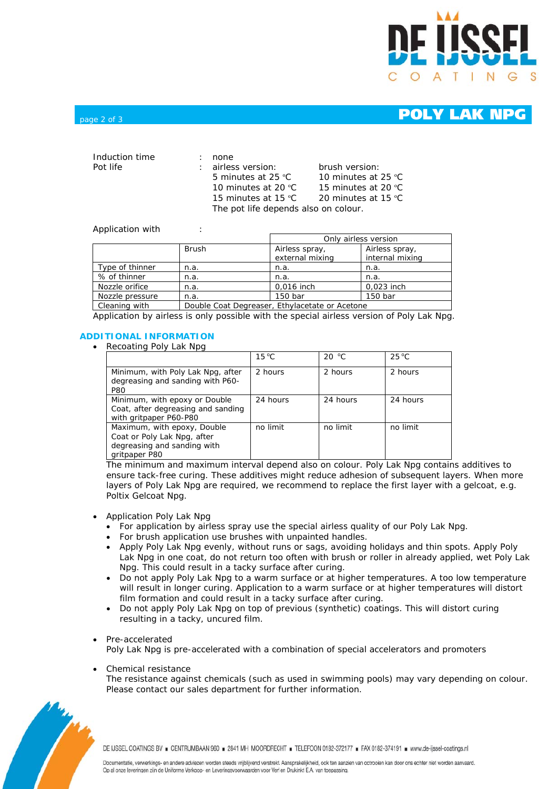

## $_{\text{page 2 of 3}}$   $_{\text{page 2 of 3}}$

| Induction time<br>Pot life |  | none<br>: airless version:<br>5 minutes at 25 °C<br>10 minutes at 20 $^{\circ}$ C | brush version:<br>10 minutes at 25 °C<br>15 minutes at 20 °C |  |
|----------------------------|--|-----------------------------------------------------------------------------------|--------------------------------------------------------------|--|
|                            |  | 15 minutes at 15 $^{\circ}$ C                                                     | 20 minutes at 15 °C                                          |  |
|                            |  | The pot life depends also on colour.                                              |                                                              |  |

### Application with :

|                 |                                                | Only airless version              |                                   |  |
|-----------------|------------------------------------------------|-----------------------------------|-----------------------------------|--|
|                 | <b>Brush</b>                                   | Airless spray,<br>external mixing | Airless spray,<br>internal mixing |  |
| Type of thinner | n.a.                                           | n.a.                              | n.a.                              |  |
| % of thinner    | n.a.                                           | n.a.                              | n.a.                              |  |
| Nozzle orifice  | n.a.                                           | 0,016 inch                        | 0,023 inch                        |  |
| Nozzle pressure | n.a.                                           | 150 bar                           | 150 bar                           |  |
| Cleaning with   | Double Coat Degreaser, Ethylacetate or Acetone |                                   |                                   |  |

Application by airless is only possible with the special airless version of Poly Lak Npg.

## **ADDITIONAL INFORMATION**

• Recoating Poly Lak Npg

|                                                                                                            | $15^{\circ}$ C | 20 °C    | $25^{\circ}$ C |
|------------------------------------------------------------------------------------------------------------|----------------|----------|----------------|
| Minimum, with Poly Lak Npg, after<br>degreasing and sanding with P60-<br><b>P80</b>                        | 2 hours        | 2 hours  | 2 hours        |
| Minimum, with epoxy or Double<br>Coat, after degreasing and sanding<br>with gritpaper P60-P80              | 24 hours       | 24 hours | 24 hours       |
| Maximum, with epoxy, Double<br>Coat or Poly Lak Npg, after<br>degreasing and sanding with<br>gritpaper P80 | no limit       | no limit | no limit       |

The minimum and maximum interval depend also on colour. Poly Lak Npg contains additives to ensure tack-free curing. These additives might reduce adhesion of subsequent layers. When more layers of Poly Lak Npg are required, we recommend to replace the first layer with a gelcoat, e.g. Poltix Gelcoat Npg.

- Application Poly Lak Npg
	- For application by airless spray use the special airless quality of our Poly Lak Npg.
	- For brush application use brushes with unpainted handles.
	- Apply Poly Lak Npg evenly, without runs or sags, avoiding holidays and thin spots. Apply Poly Lak Npg in one coat, do not return too often with brush or roller in already applied, wet Poly Lak Npg. This could result in a tacky surface after curing.
	- Do not apply Poly Lak Npg to a warm surface or at higher temperatures. A too low temperature will result in longer curing. Application to a warm surface or at higher temperatures will distort film formation and could result in a tacky surface after curing.
	- Do not apply Poly Lak Npg on top of previous (synthetic) coatings. This will distort curing resulting in a tacky, uncured film.

### • Pre-accelerated

Poly Lak Npg is pre-accelerated with a combination of special accelerators and promoters

• Chemical resistance

The resistance against chemicals (such as used in swimming pools) may vary depending on colour. Please contact our sales department for further information.